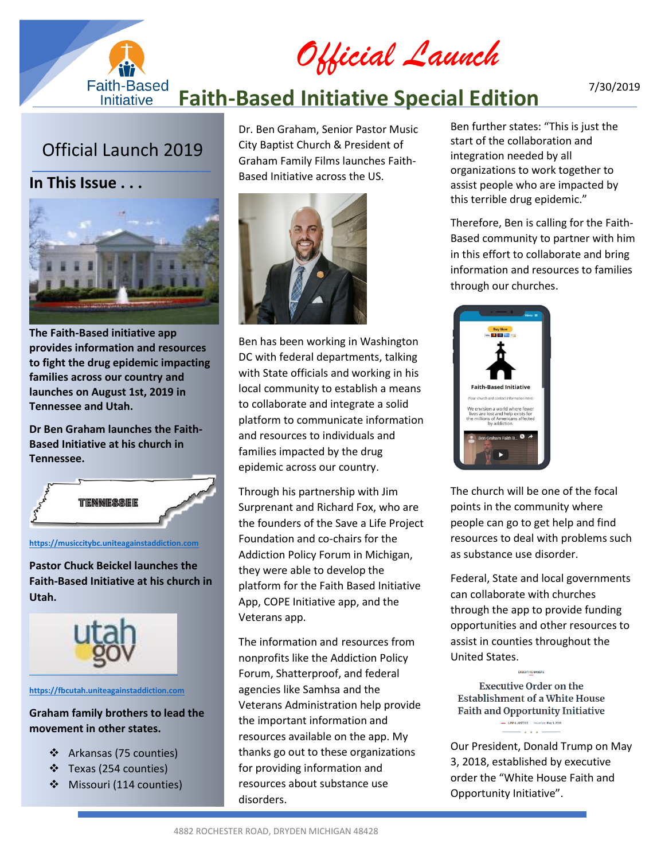*Official Launch*

#### **Faith-Based Faith-Based Initiative Special Edition** Initiative

# Official Launch 2019

**In This Issue . . .**



**The Faith-Based initiative app provides information and resources to fight the drug epidemic impacting families across our country and launches on August 1st, 2019 in Tennessee and Utah.** 

**Dr Ben Graham launches the Faith-Based Initiative at his church in Tennessee.**



#### **[https://musiccitybc.uniteagainstaddiction.com](https://musiccitybc.uniteagainstaddiction.com/)**

**Pastor Chuck Beickel launches the Faith-Based Initiative at his church in Utah.**



### **https://fbcutah.uniteagainstaddiction.com**

## **Graham family brothers to lead the movement in other states.**

- ❖ Arkansas (75 counties)
- ❖ Texas (254 counties)
- ❖ Missouri (114 counties)

Dr. Ben Graham, Senior Pastor Music City Baptist Church & President of Graham Family Films launches Faith-Based Initiative across the US.



Ben has been working in Washington DC with federal departments, talking with State officials and working in his local community to establish a means to collaborate and integrate a solid platform to communicate information and resources to individuals and families impacted by the drug epidemic across our country.

Through his partnership with Jim Surprenant and Richard Fox, who are the founders of the Save a Life Project Foundation and co-chairs for the Addiction Policy Forum in Michigan, they were able to develop the platform for the Faith Based Initiative App, COPE Initiative app, and the Veterans app.

The information and resources from nonprofits like the Addiction Policy Forum, Shatterproof, and federal agencies like Samhsa and the Veterans Administration help provide the important information and resources available on the app. My thanks go out to these organizations for providing information and resources about substance use disorders.

Ben further states: "This is just the start of the collaboration and integration needed by all organizations to work together to assist people who are impacted by this terrible drug epidemic."

Therefore, Ben is calling for the Faith-Based community to partner with him in this effort to collaborate and bring information and resources to families through our churches.



The church will be one of the focal points in the community where people can go to get help and find resources to deal with problems such as substance use disorder.

Federal, State and local governments can collaborate with churches through the app to provide funding opportunities and other resources to assist in counties throughout the United States.

**Executive Order on the Establishment of a White House Faith and Opportunity Initiative** 

Our President, Donald Trump on May 3, 2018, established by executive order the "White House Faith and Opportunity Initiative".